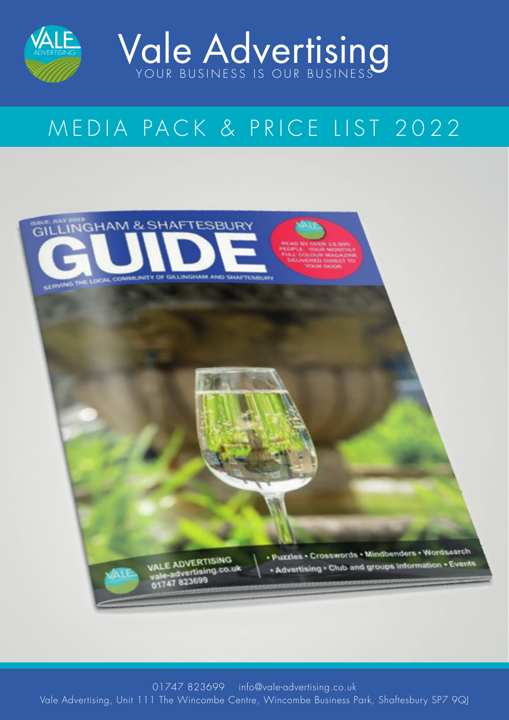



# MEDIA PACK & PRICE LIST 2022

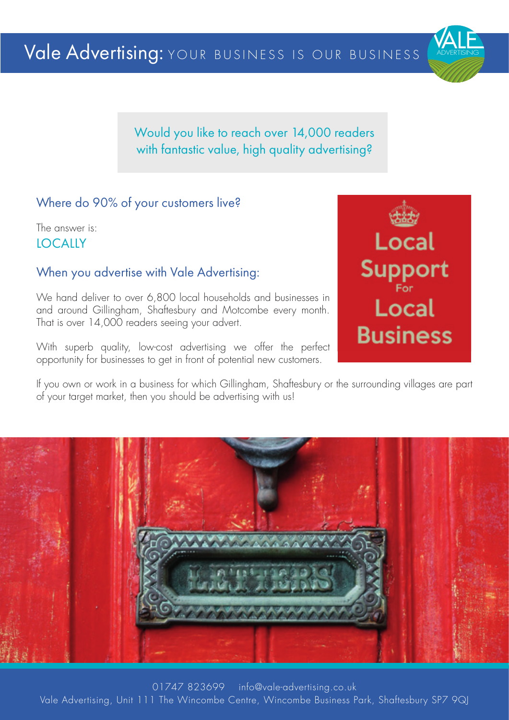

Would you like to reach over 14,000 readers with fantastic value, high quality advertising?

### Where do 90% of your customers live?

The answer is: **LOCALLY** 

### When you advertise with Vale Advertising:

We hand deliver to over 6,800 local households and businesses in and around Gillingham, Shaftesbury and Motcombe every month. That is over 14,000 readers seeing your advert.

With superb quality, low-cost advertising we offer the perfect opportunity for businesses to get in front of potential new customers.

**Local** Support **Local Business** 

If you own or work in a business for which Gillingham, Shaftesbury or the surrounding villages are part of your target market, then you should be advertising with us!

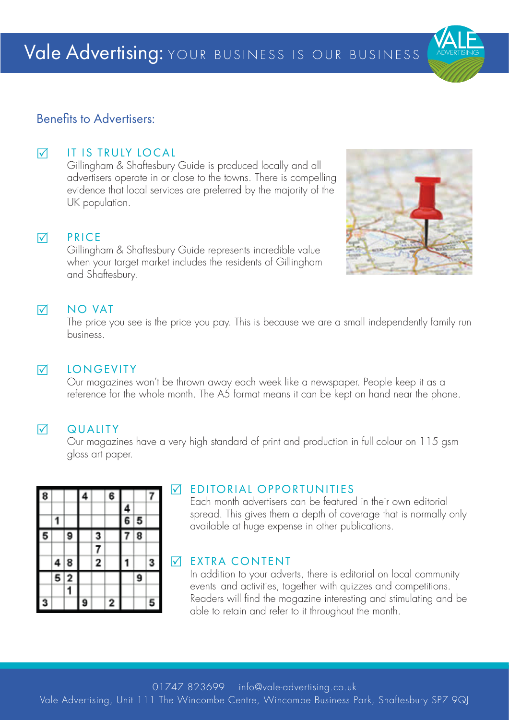

### Benefits to Advertisers:

### **M** IT IS TRULY LOCAL

Gillingham & Shaftesbury Guide is produced locally and all advertisers operate in or close to the towns. There is compelling evidence that local services are preferred by the majority of the UK population.

### $\nabla$  PRICE

Gillingham & Shaftesbury Guide represents incredible value when your target market includes the residents of Gillingham and Shaftesbury.

### $\nabla$  NO VAT

The price you see is the price you pay. This is because we are a small independently family run business.

### **V** LONGEVITY

Our magazines won't be thrown away each week like a newspaper. People keep it as a reference for the whole month. The A5 format means it can be kept on hand near the phone.

### **N** QUALITY

Our magazines have a very high standard of print and production in full colour on 115 gsm gloss art paper.

| 8 |   |                | 4 |   | 6 |   |   |   |
|---|---|----------------|---|---|---|---|---|---|
|   |   |                |   |   |   | 4 |   |   |
|   |   |                |   |   |   | 6 | 5 |   |
| 5 |   | 9              |   | 3 |   |   | 8 |   |
|   |   |                |   | 7 |   |   |   |   |
|   | 4 | 8              |   | 2 |   |   |   | 3 |
|   | 5 | $\overline{2}$ |   |   |   |   | 9 |   |
|   |   | 1              |   |   |   |   |   |   |
| 3 |   |                | 9 |   | 2 |   |   | 5 |

### **WEDITORIAL OPPORTUNITIES**

Each month advertisers can be featured in their own editorial spread. This gives them a depth of coverage that is normally only available at huge expense in other publications.

### **WEXTRA CONTENT**

In addition to your adverts, there is editorial on local community events and activities, together with quizzes and competitions. Readers will find the magazine interesting and stimulating and be able to retain and refer to it throughout the month.

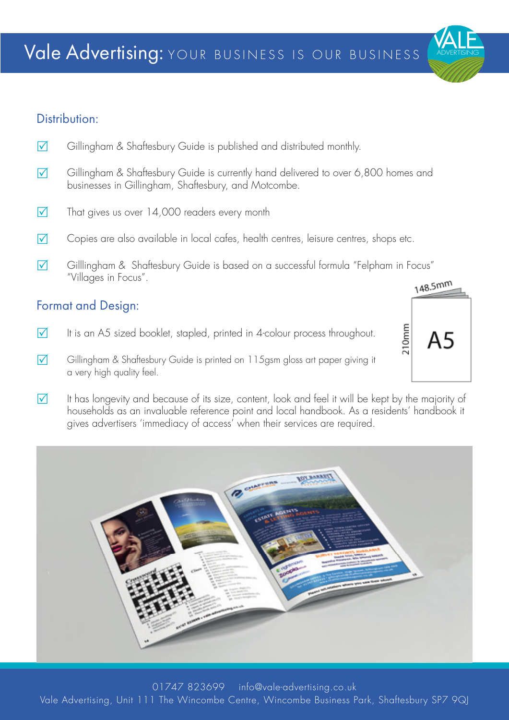### Distribution:

- $\nabla$  Gillingham & Shaftesbury Guide is published and distributed monthly.
- $\nabla$  Gillingham & Shaftesbury Guide is currently hand delivered to over 6,800 homes and businesses in Gillingham, Shaftesbury, and Motcombe.
- $\nabla$  That gives us over 14,000 readers every month
- $\nabla$  Copies are also available in local cafes, health centres, leisure centres, shops etc.
- $\nabla$  Gilllingham & Shaftesbury Guide is based on a successful formula "Felpham in Focus" "Villages in Focus".

### Format and Design:

- $\nabla$  It is an A5 sized booklet, stapled, printed in 4-colour process throughout.
- $\nabla$  Gillingham & Shaftesbury Guide is printed on 115gsm gloss art paper giving it a very high quality feel.
- $\nabla$  It has longevity and because of its size, content, look and feel it will be kept by the majority of households as an invaluable reference point and local handbook. As a residents' handbook it gives advertisers 'immediacy of access' when their services are required.



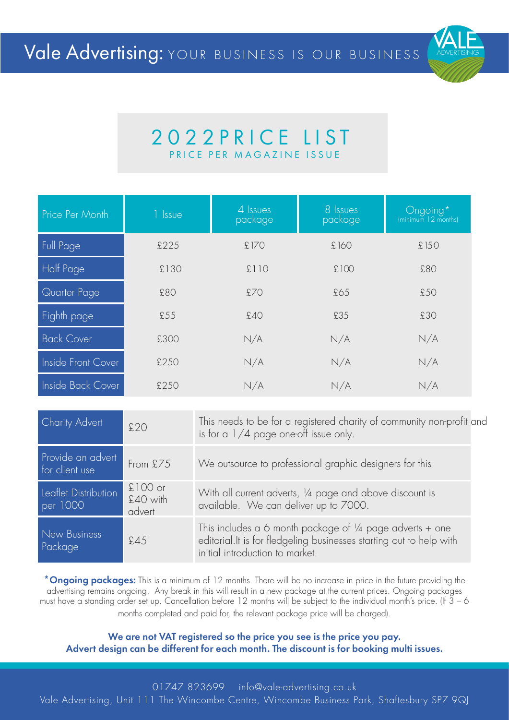

## 2022 PRICE LIST PRICE PER MA GAZINE IS SUE

| Price Per Month    | 1 Issue | 4 Issues<br>package | 8 Issues<br>package | Ongoing*<br>(minimum 12 months) |
|--------------------|---------|---------------------|---------------------|---------------------------------|
| Full Page          | £225    | £170                | £160                | £150                            |
| Half Page          | £130    | £110                | £100                | £80                             |
| Quarter Page       | £80     | £70                 | £65                 | £50                             |
| Eighth page        | £55     | £40                 | £35                 | £30                             |
| <b>Back Cover</b>  | £300    | N/A                 | N/A                 | N/A                             |
| Inside Front Cover | £250    | N/A                 | N/A                 | N/A                             |
| Inside Back Cover  | £250    | N/A                 | N/A                 | N/A                             |

| <b>Charity Advert</b>               | £20                             | This needs to be for a registered charity of community non-profit and<br>is for a $1/4$ page one-off issue only.                                                               |
|-------------------------------------|---------------------------------|--------------------------------------------------------------------------------------------------------------------------------------------------------------------------------|
| Provide an advert<br>for client use | From £75                        | We outsource to professional graphic designers for this                                                                                                                        |
| Leaflet Distribution<br>per 1000    | $£100$ or<br>£40 with<br>advert | With all current adverts, 1/4 page and above discount is<br>available. We can deliver up to 7000.                                                                              |
| New Business<br>Package             | £45                             | This includes a 6 month package of $\frac{1}{4}$ page adverts + one<br>editorial. It is for fledgeling businesses starting out to help with<br>initial introduction to market. |

\*Ongoing packages: This is a minimum of 12 months. There will be no increase in price in the future providing the advertising remains ongoing. Any break in this will result in a new package at the current prices. Ongoing packages must have a standing order set up. Cancellation before 12 months will be subject to the individual month's price. (If 3 – 6 months completed and paid for, the relevant package price will be charged).

We are not VAT registered so the price you see is the price you pay. Advert design can be different for each month. The discount is for booking multi issues.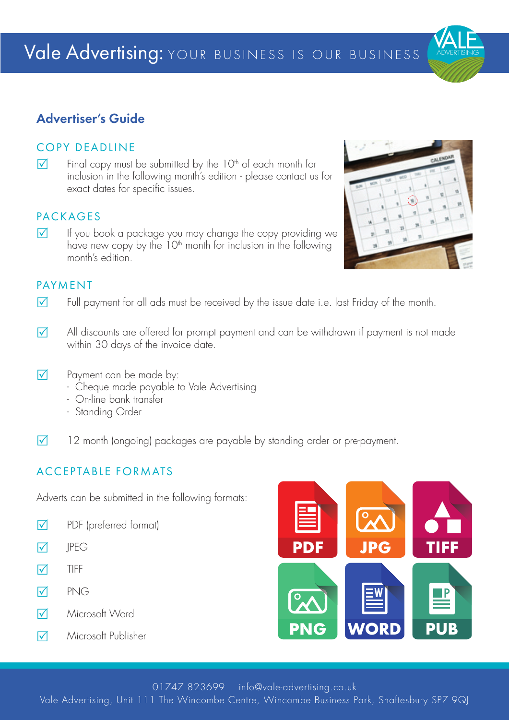### Advertiser's Guide

### COPY DEADLINE

 $\overline{V}$  Final copy must be submitted by the 10<sup>th</sup> of each month for inclusion in the following month's edition - please contact us for exact dates for specific issues.

### PACKAGES

 $\nabla$  If you book a package you may change the copy providing we have new copy by the 10<sup>th</sup> month for inclusion in the following month's edition.

### PAYMENT

- $\nabla$  Full payment for all ads must be received by the issue date i.e. last Friday of the month.
- $\nabla$  All discounts are offered for prompt payment and can be withdrawn if payment is not made within 30 days of the invoice date.
- $\nabla$  Payment can be made by:
	- Cheque made payable to Vale Advertising
	- On-line bank transfer
	- Standing Order
- $\nabla$  12 month (ongoing) packages are payable by standing order or pre-payment.

### ACCEPTABLE FORMATS

Adverts can be submitted in the following formats:

- $\nabla$  PDF (preferred format)
- $\nabla$  IPEG
- $\nabla$  TIFF
- $\nabla$  PNG
- R Microsoft Word
- 







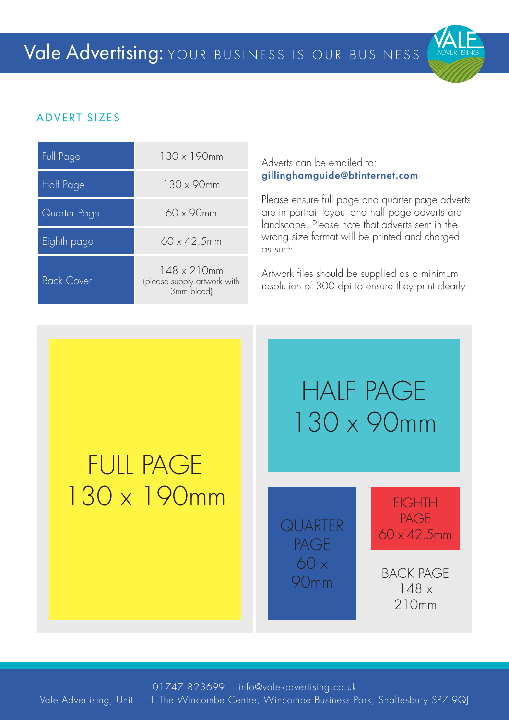

### ADVERT SIZES

| <b>Full Page</b>  | $130 \times 190$ mm                                              |
|-------------------|------------------------------------------------------------------|
| Half Page         | $130 \times 90$ mm                                               |
| Quarter Page      | $60 \times 90$ mm                                                |
| Eighth page       | $60 \times 42.5$ mm                                              |
| <b>Back Cover</b> | $148 \times 210$ mm<br>(please supply artwork with<br>3mm bleed) |

#### Adverts can be emailed to: gillinghamguide@btinternet.com

Please ensure full page and quarter page adverts are in portrait layout and half page adverts are landscape. Please note that adverts sent in the wrong size format will be printed and charged as such.

Artwork files should be supplied as a minimum resolution of 300 dpi to ensure they print clearly.

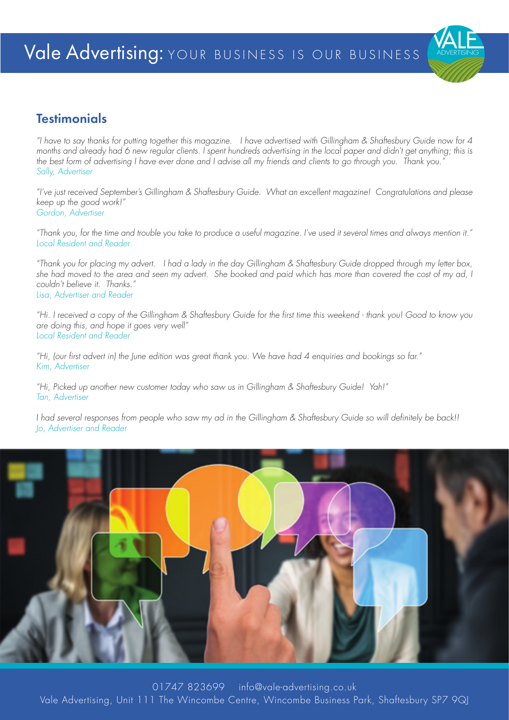### **Testimonials**

"I have to say thanks for putting together this magazine. I have advertised with Gillingham & Shaftesbury Guide now for 4 months and already had 6 new regular clients. I spent hundreds advertising in the local paper and didn't get anything; this is the best form of advertising I have ever done and I advise all my friends and clients to go through you. Thank you." Sally, Advertiser

"I've just received September's Gillingham & Shaftesbury Guide. What an excellent magazine! Congratulations and please keep up the good work!" Gordon, Advertiser

"Thank you, for the time and trouble you take to produce a useful magazine. I've used it several times and always mention it." Local Resident and Reader

"Thank you for placing my advert. I had a lady in the day Gillingham & Shaftesbury Guide dropped through my letter box, she had moved to the area and seen my advert. She booked and paid which has more than covered the cost of my ad, I couldn't believe it. Thanks." Lisa, Advertiser and Reader

"Hi. I received a copy of the Gillingham & Shaftesbury Guide for the first time this weekend - thank you! Good to know you are doing this, and hope it goes very well" Local Resident and Reader

"Hi, (our first advert in) the June edition was great thank you. We have had 4 enquiries and bookings so far." Kim, Advertiser

"Hi, Picked up another new customer today who saw us in Gillingham & Shaftesbury Guide! Yah!" Tan, Advertiser

I had several responses from people who saw my ad in the Gillingham & Shaftesbury Guide so will definitely be back!! Jo, Advertiser and Reader

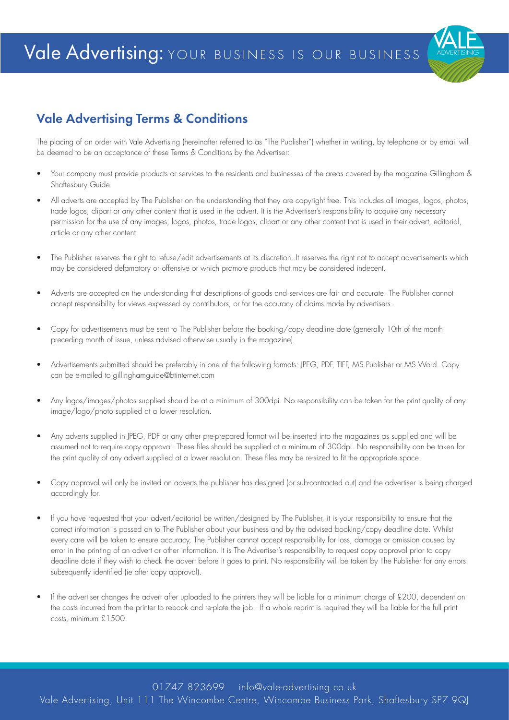

### Vale Advertising Terms & Conditions

The placing of an order with Vale Advertising (hereinafter referred to as "The Publisher") whether in writing, by telephone or by email will be deemed to be an acceptance of these Terms & Conditions by the Advertiser:

- Your company must provide products or services to the residents and businesses of the areas covered by the magazine Gillingham & Shaftesbury Guide.
- All adverts are accepted by The Publisher on the understanding that they are copyright free. This includes all images, logos, photos, trade logos, clipart or any other content that is used in the advert. It is the Advertiser's responsibility to acquire any necessary permission for the use of any images, logos, photos, trade logos, clipart or any other content that is used in their advert, editorial, article or any other content.
- The Publisher reserves the right to refuse/edit advertisements at its discretion. It reserves the right not to accept advertisements which may be considered defamatory or offensive or which promote products that may be considered indecent.
- Adverts are accepted on the understanding that descriptions of goods and services are fair and accurate. The Publisher cannot accept responsibility for views expressed by contributors, or for the accuracy of claims made by advertisers.
- Copy for advertisements must be sent to The Publisher before the booking/copy deadline date (generally 10th of the month preceding month of issue, unless advised otherwise usually in the magazine).
- Advertisements submitted should be preferably in one of the following formats: JPEG, PDF, TIFF, MS Publisher or MS Word. Copy can be e-mailed to gillinghamguide@btinternet.com
- Any logos/images/photos supplied should be at a minimum of 300dpi. No responsibility can be taken for the print quality of any image/logo/photo supplied at a lower resolution.
- Any adverts supplied in JPEG, PDF or any other pre-prepared format will be inserted into the magazines as supplied and will be assumed not to require copy approval. These files should be supplied at a minimum of 300dpi. No responsibility can be taken for the print quality of any advert supplied at a lower resolution. These files may be re-sized to fit the appropriate space.
- Copy approval will only be invited on adverts the publisher has designed (or sub-contracted out) and the advertiser is being charged accordingly for.
- If you have requested that your advert/editorial be written/designed by The Publisher, it is your responsibility to ensure that the correct information is passed on to The Publisher about your business and by the advised booking/copy deadline date. Whilst every care will be taken to ensure accuracy, The Publisher cannot accept responsibility for loss, damage or omission caused by error in the printing of an advert or other information. It is The Advertiser's responsibility to request copy approval prior to copy deadline date if they wish to check the advert before it goes to print. No responsibility will be taken by The Publisher for any errors subsequently identified (ie after copy approval).
- If the advertiser changes the advert after uploaded to the printers they will be liable for a minimum charge of £200, dependent on the costs incurred from the printer to rebook and re-plate the job. If a whole reprint is required they will be liable for the full print costs, minimum £1500.